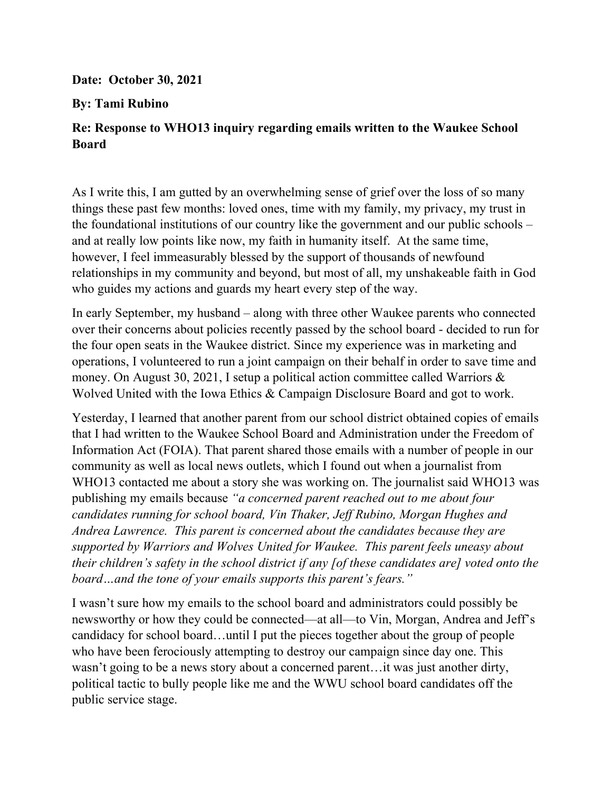## **Date: October 30, 2021**

## **By: Tami Rubino**

## **Re: Response to WHO13 inquiry regarding emails written to the Waukee School Board**

As I write this, I am gutted by an overwhelming sense of grief over the loss of so many things these past few months: loved ones, time with my family, my privacy, my trust in the foundational institutions of our country like the government and our public schools – and at really low points like now, my faith in humanity itself. At the same time, however, I feel immeasurably blessed by the support of thousands of newfound relationships in my community and beyond, but most of all, my unshakeable faith in God who guides my actions and guards my heart every step of the way.

In early September, my husband – along with three other Waukee parents who connected over their concerns about policies recently passed by the school board - decided to run for the four open seats in the Waukee district. Since my experience was in marketing and operations, I volunteered to run a joint campaign on their behalf in order to save time and money. On August 30, 2021, I setup a political action committee called Warriors & Wolved United with the Iowa Ethics & Campaign Disclosure Board and got to work.

Yesterday, I learned that another parent from our school district obtained copies of emails that I had written to the Waukee School Board and Administration under the Freedom of Information Act (FOIA). That parent shared those emails with a number of people in our community as well as local news outlets, which I found out when a journalist from WHO13 contacted me about a story she was working on. The journalist said WHO13 was publishing my emails because *"a concerned parent reached out to me about four candidates running for school board, Vin Thaker, Jeff Rubino, Morgan Hughes and Andrea Lawrence. This parent is concerned about the candidates because they are supported by Warriors and Wolves United for Waukee. This parent feels uneasy about their children's safety in the school district if any [of these candidates are] voted onto the board…and the tone of your emails supports this parent's fears."* 

I wasn't sure how my emails to the school board and administrators could possibly be newsworthy or how they could be connected—at all—to Vin, Morgan, Andrea and Jeff's candidacy for school board…until I put the pieces together about the group of people who have been ferociously attempting to destroy our campaign since day one. This wasn't going to be a news story about a concerned parent…it was just another dirty, political tactic to bully people like me and the WWU school board candidates off the public service stage.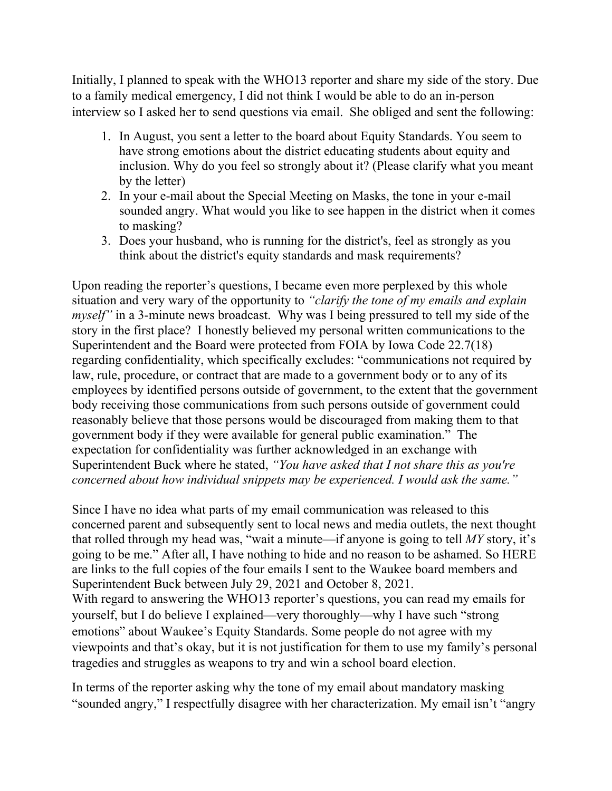Initially, I planned to speak with the WHO13 reporter and share my side of the story. Due to a family medical emergency, I did not think I would be able to do an in-person interview so I asked her to send questions via email. She obliged and sent the following:

- 1. In August, you sent a letter to the board about Equity Standards. You seem to have strong emotions about the district educating students about equity and inclusion. Why do you feel so strongly about it? (Please clarify what you meant by the letter)
- 2. In your e-mail about the Special Meeting on Masks, the tone in your e-mail sounded angry. What would you like to see happen in the district when it comes to masking?
- 3. Does your husband, who is running for the district's, feel as strongly as you think about the district's equity standards and mask requirements?

Upon reading the reporter's questions, I became even more perplexed by this whole situation and very wary of the opportunity to *"clarify the tone of my emails and explain myself*" in a 3-minute news broadcast. Why was I being pressured to tell my side of the story in the first place? I honestly believed my personal written communications to the Superintendent and the Board were protected from FOIA by Iowa Code 22.7(18) regarding confidentiality, which specifically excludes: "communications not required by law, rule, procedure, or contract that are made to a government body or to any of its employees by identified persons outside of government, to the extent that the government body receiving those communications from such persons outside of government could reasonably believe that those persons would be discouraged from making them to that government body if they were available for general public examination." The expectation for confidentiality was further acknowledged in an exchange with Superintendent Buck where he stated, *"You have asked that I not share this as you're concerned about how individual snippets may be experienced. I would ask the same."* 

Since I have no idea what parts of my email communication was released to this concerned parent and subsequently sent to local news and media outlets, the next thought that rolled through my head was, "wait a minute—if anyone is going to tell *MY* story, it's going to be me." After all, I have nothing to hide and no reason to be ashamed. So HERE are links to the full copies of the four emails I sent to the Waukee board members and Superintendent Buck between July 29, 2021 and October 8, 2021. With regard to answering the WHO13 reporter's questions, you can read my emails for yourself, but I do believe I explained—very thoroughly—why I have such "strong emotions" about Waukee's Equity Standards. Some people do not agree with my viewpoints and that's okay, but it is not justification for them to use my family's personal

tragedies and struggles as weapons to try and win a school board election.

In terms of the reporter asking why the tone of my email about mandatory masking "sounded angry," I respectfully disagree with her characterization. My email isn't "angry